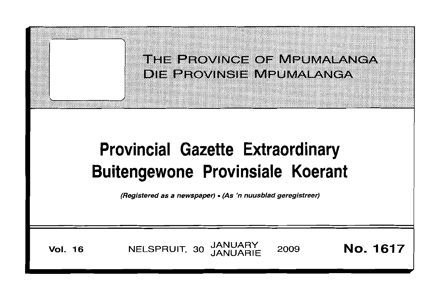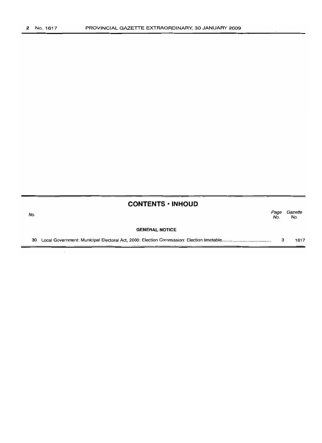the contract of the contract of the

# **CONTENTS ·INHOUD**

| No. |                       | Page<br>No. | Gazette<br>No. |
|-----|-----------------------|-------------|----------------|
|     | <b>GENERAL NOTICE</b> |             |                |
| 30  |                       |             | 1617           |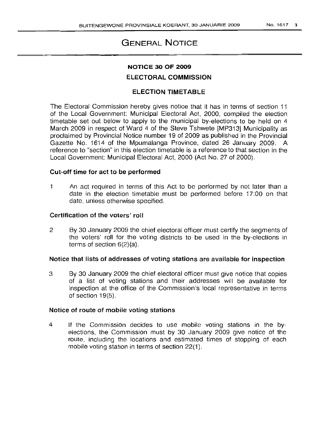# GENERAL NOTICE

# NOTICE 30 OF 2009

# ELECTORAL COMMISSION

# ELECTION TIMETABLE

The Electoral Commission hereby gives notice that it has in terms of section 11 of the Local Government: Municipal Electoral Act, 2000, compiled the election timetable set out below to apply to the municipal by-elections to be held on 4 March 2009 in respect of Ward 4 of the Steve Tshwete [MP313] Municipality as proclaimed by Provincial Notice number 19 of 2009 as published in the Provincial Gazette No. 1614 of the Mpumalanga Province, dated 26 January 2009. A reference to "section" in this election timetable is a reference to that section in the Local Government: Municipal Electoral Act, 2000 (Act No. 27 of 2000).

## Cut-off time for act to be performed

1 An act required in terms of this Act to be performed by not later than a date in the election timetable must be performed before 17:00 on that date, unless otherwise specified.

#### Certification of the voters' roll

2 By 30 January 2009 the chief electoral officer must certify the segments of the voters' roll for the voting districts to be used in the by-elections in terms of section 6(2)(a).

#### Notice that lists of addresses of voting stations are available for inspection

3 By 30 January 2009 the chief electoral officer must give notice that copies of a list of voting stations and their addresses will be available for inspection at the office of the Commission's local representative in terms of section 19(5).

## Notice of route of mobile voting stations

4 If the Commission decides to use mobile voting stations in the byelections, the Commission must by 30 January 2009 give notice of the route, including the locations and estimated times of stopping of each mobile voting station in terms of section 22(1).